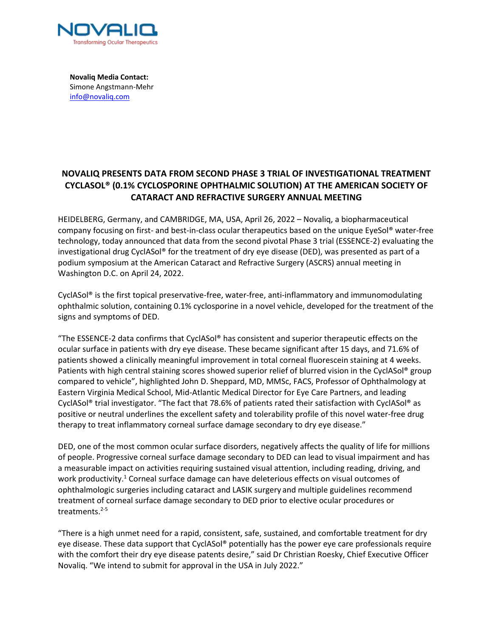

**Novaliq Media Contact:** Simone Angstmann-Mehr info@novaliq.com

# **NOVALIQ PRESENTS DATA FROM SECOND PHASE 3 TRIAL OF INVESTIGATIONAL TREATMENT CYCLASOL® (0.1% CYCLOSPORINE OPHTHALMIC SOLUTION) AT THE AMERICAN SOCIETY OF CATARACT AND REFRACTIVE SURGERY ANNUAL MEETING**

HEIDELBERG, Germany, and CAMBRIDGE, MA, USA, April 26, 2022 – Novaliq, a biopharmaceutical company focusing on first- and best-in-class ocular therapeutics based on the unique EyeSol® water-free technology, today announced that data from the second pivotal Phase 3 trial (ESSENCE-2) evaluating the investigational drug CyclASol® for the treatment of dry eye disease (DED), was presented as part of a podium symposium at the American Cataract and Refractive Surgery (ASCRS) annual meeting in Washington D.C. on April 24, 2022.

CyclASol® is the first topical preservative-free, water-free, anti-inflammatory and immunomodulating ophthalmic solution, containing 0.1% cyclosporine in a novel vehicle, developed for the treatment of the signs and symptoms of DED.

"The ESSENCE-2 data confirms that CyclASol® has consistent and superior therapeutic effects on the ocular surface in patients with dry eye disease. These became significant after 15 days, and 71.6% of patients showed a clinically meaningful improvement in total corneal fluorescein staining at 4 weeks. Patients with high central staining scores showed superior relief of blurred vision in the CyclASol® group compared to vehicle", highlighted John D. Sheppard, MD, MMSc, FACS, Professor of Ophthalmology at Eastern Virginia Medical School, Mid-Atlantic Medical Director for Eye Care Partners, and leading CyclASol® trial investigator. "The fact that 78.6% of patients rated their satisfaction with CyclASol® as positive or neutral underlines the excellent safety and tolerability profile of this novel water-free drug therapy to treat inflammatory corneal surface damage secondary to dry eye disease."

DED, one of the most common ocular surface disorders, negatively affects the quality of life for millions of people. Progressive corneal surface damage secondary to DED can lead to visual impairment and has a measurable impact on activities requiring sustained visual attention, including reading, driving, and work productivity.<sup>1</sup> Corneal surface damage can have deleterious effects on visual outcomes of ophthalmologic surgeries including cataract and LASIK surgery and multiple guidelines recommend treatment of corneal surface damage secondary to DED prior to elective ocular procedures or treatments.2-5

"There is a high unmet need for a rapid, consistent, safe, sustained, and comfortable treatment for dry eye disease. These data support that CyclASol® potentially has the power eye care professionals require with the comfort their dry eye disease patents desire," said Dr Christian Roesky, Chief Executive Officer Novaliq. "We intend to submit for approval in the USA in July 2022."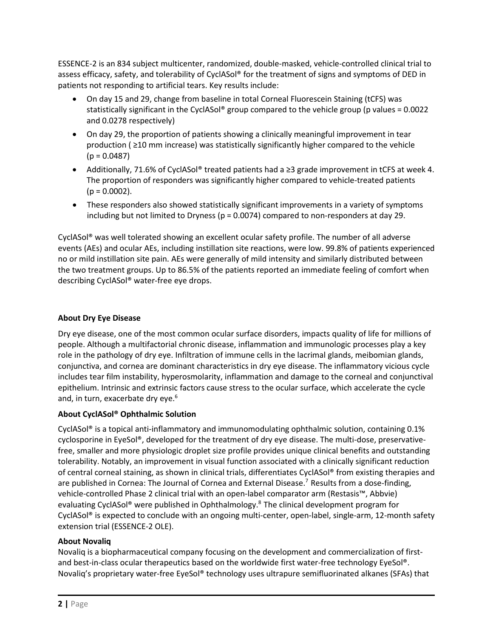ESSENCE-2 is an 834 subject multicenter, randomized, double-masked, vehicle-controlled clinical trial to assess efficacy, safety, and tolerability of CyclASol® for the treatment of signs and symptoms of DED in patients not responding to artificial tears. Key results include:

- On day 15 and 29, change from baseline in total Corneal Fluorescein Staining (tCFS) was statistically significant in the CyclASol® group compared to the vehicle group (p values = 0.0022 and 0.0278 respectively)
- On day 29, the proportion of patients showing a clinically meaningful improvement in tear production ( ≥10 mm increase) was statistically significantly higher compared to the vehicle  $(p = 0.0487)$
- Additionally, 71.6% of CyclASol® treated patients had a ≥3 grade improvement in tCFS at week 4. The proportion of responders was significantly higher compared to vehicle-treated patients  $(p = 0.0002)$ .
- These responders also showed statistically significant improvements in a variety of symptoms including but not limited to Dryness ( $p = 0.0074$ ) compared to non-responders at day 29.

CyclASol® was well tolerated showing an excellent ocular safety profile. The number of all adverse events (AEs) and ocular AEs, including instillation site reactions, were low. 99.8% of patients experienced no or mild instillation site pain. AEs were generally of mild intensity and similarly distributed between the two treatment groups. Up to 86.5% of the patients reported an immediate feeling of comfort when describing CyclASol® water-free eye drops.

## **About Dry Eye Disease**

Dry eye disease, one of the most common ocular surface disorders, impacts quality of life for millions of people. Although a multifactorial chronic disease, inflammation and immunologic processes play a key role in the pathology of dry eye. Infiltration of immune cells in the lacrimal glands, meibomian glands, conjunctiva, and cornea are dominant characteristics in dry eye disease. The inflammatory vicious cycle includes tear film instability, hyperosmolarity, inflammation and damage to the corneal and conjunctival epithelium. Intrinsic and extrinsic factors cause stress to the ocular surface, which accelerate the cycle and, in turn, exacerbate dry eye. 6

## **About CyclASol® Ophthalmic Solution**

CyclASol® is a topical anti-inflammatory and immunomodulating ophthalmic solution, containing 0.1% cyclosporine in EyeSol®, developed for the treatment of dry eye disease. The multi-dose, preservativefree, smaller and more physiologic droplet size profile provides unique clinical benefits and outstanding tolerability. Notably, an improvement in visual function associated with a clinically significant reduction of central corneal staining, as shown in clinical trials, differentiates CyclASol® from existing therapies and are published in Cornea: The Journal of Cornea and External Disease.<sup>7</sup> Results from a dose-finding, vehicle-controlled Phase 2 clinical trial with an open-label comparator arm (Restasis™, Abbvie) evaluating CyclASol® were published in Ophthalmology. <sup>8</sup>The clinical development program for CyclASol® is expected to conclude with an ongoing multi-center, open-label, single-arm, 12-month safety extension trial (ESSENCE-2 OLE).

## **About Novaliq**

Novaliq is a biopharmaceutical company focusing on the development and commercialization of firstand best-in-class ocular therapeutics based on the worldwide first water-free technology EyeSol®. Novaliq's proprietary water-free EyeSol® technology uses ultrapure semifluorinated alkanes (SFAs) that